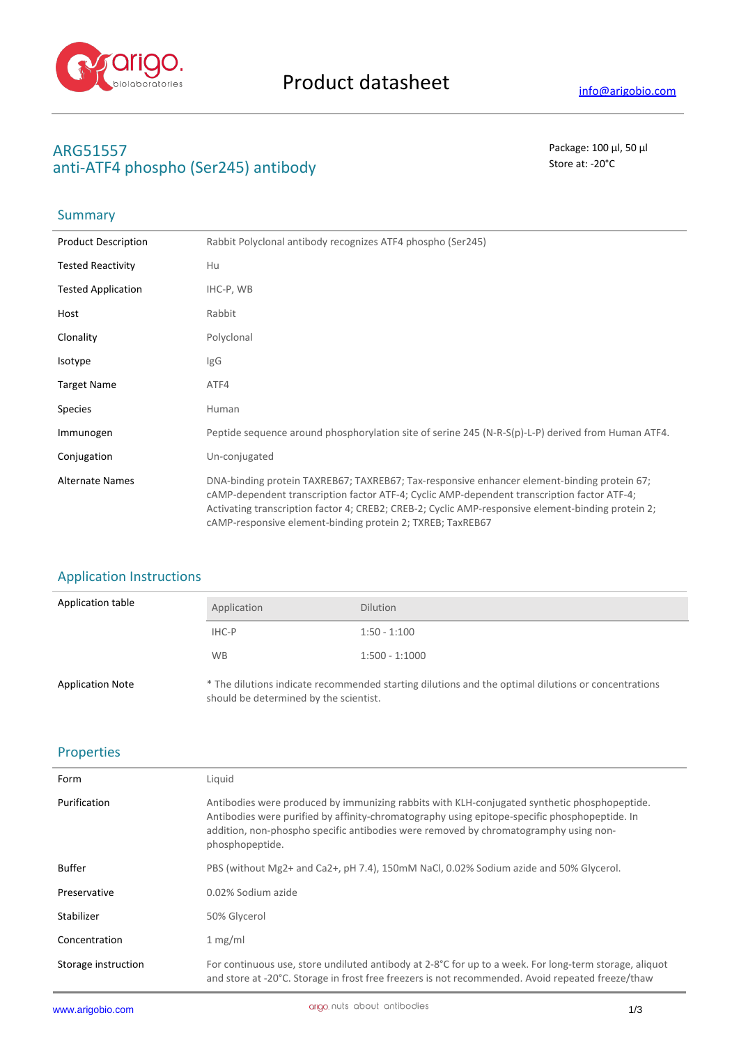

# **ARG51557** Package: 100 μl, 50 μl anti-ATF4 phospho (Ser245) antibody and state at the state at  $\sim$  20°C

## **Summary**

| <b>Product Description</b> | Rabbit Polyclonal antibody recognizes ATF4 phospho (Ser245)                                                                                                                                                                                                                                                                                                    |
|----------------------------|----------------------------------------------------------------------------------------------------------------------------------------------------------------------------------------------------------------------------------------------------------------------------------------------------------------------------------------------------------------|
| <b>Tested Reactivity</b>   | Hu                                                                                                                                                                                                                                                                                                                                                             |
| <b>Tested Application</b>  | IHC-P, WB                                                                                                                                                                                                                                                                                                                                                      |
| Host                       | Rabbit                                                                                                                                                                                                                                                                                                                                                         |
| Clonality                  | Polyclonal                                                                                                                                                                                                                                                                                                                                                     |
| Isotype                    | IgG                                                                                                                                                                                                                                                                                                                                                            |
| <b>Target Name</b>         | ATF4                                                                                                                                                                                                                                                                                                                                                           |
| <b>Species</b>             | Human                                                                                                                                                                                                                                                                                                                                                          |
| Immunogen                  | Peptide sequence around phosphorylation site of serine 245 (N-R-S(p)-L-P) derived from Human ATF4.                                                                                                                                                                                                                                                             |
| Conjugation                | Un-conjugated                                                                                                                                                                                                                                                                                                                                                  |
| <b>Alternate Names</b>     | DNA-binding protein TAXREB67; TAXREB67; Tax-responsive enhancer element-binding protein 67;<br>cAMP-dependent transcription factor ATF-4; Cyclic AMP-dependent transcription factor ATF-4;<br>Activating transcription factor 4; CREB2; CREB-2; Cyclic AMP-responsive element-binding protein 2;<br>cAMP-responsive element-binding protein 2; TXREB; TaxREB67 |

## Application Instructions

| Application table       | Application                            | <b>Dilution</b>                                                                                     |
|-------------------------|----------------------------------------|-----------------------------------------------------------------------------------------------------|
|                         | IHC-P                                  | $1:50 - 1:100$                                                                                      |
|                         | <b>WB</b>                              | $1:500 - 1:1000$                                                                                    |
| <b>Application Note</b> | should be determined by the scientist. | * The dilutions indicate recommended starting dilutions and the optimal dilutions or concentrations |

### Properties

| Form                | Liquid                                                                                                                                                                                                                                                                                                   |
|---------------------|----------------------------------------------------------------------------------------------------------------------------------------------------------------------------------------------------------------------------------------------------------------------------------------------------------|
| Purification        | Antibodies were produced by immunizing rabbits with KLH-conjugated synthetic phosphopeptide.<br>Antibodies were purified by affinity-chromatography using epitope-specific phosphopeptide. In<br>addition, non-phospho specific antibodies were removed by chromatogramphy using non-<br>phosphopeptide. |
| <b>Buffer</b>       | PBS (without Mg2+ and Ca2+, pH 7.4), 150mM NaCl, 0.02% Sodium azide and 50% Glycerol.                                                                                                                                                                                                                    |
| Preservative        | 0.02% Sodium azide                                                                                                                                                                                                                                                                                       |
| Stabilizer          | 50% Glycerol                                                                                                                                                                                                                                                                                             |
| Concentration       | 1 mg/ml                                                                                                                                                                                                                                                                                                  |
| Storage instruction | For continuous use, store undiluted antibody at 2-8°C for up to a week. For long-term storage, aliquot<br>and store at -20°C. Storage in frost free freezers is not recommended. Avoid repeated freeze/thaw                                                                                              |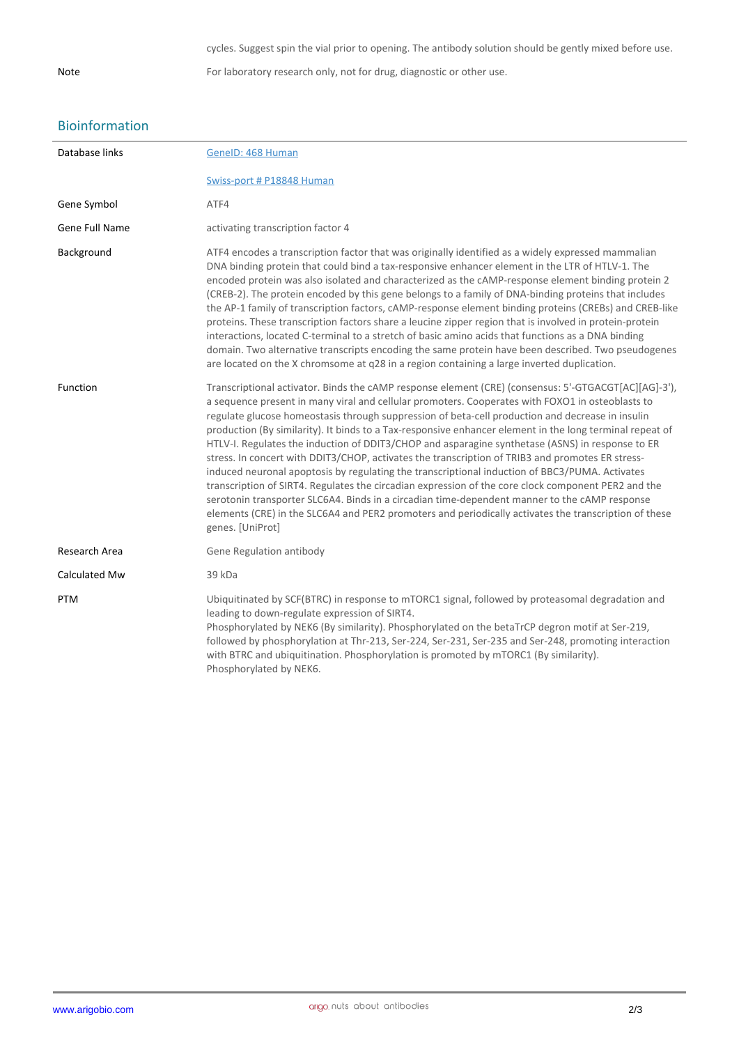Note For laboratory research only, not for drug, diagnostic or other use.

### Bioinformation

| Database links | GeneID: 468 Human                                                                                                                                                                                                                                                                                                                                                                                                                                                                                                                                                                                                                                                                                                                                                                                                                                                                                                                                                                                                                                                       |
|----------------|-------------------------------------------------------------------------------------------------------------------------------------------------------------------------------------------------------------------------------------------------------------------------------------------------------------------------------------------------------------------------------------------------------------------------------------------------------------------------------------------------------------------------------------------------------------------------------------------------------------------------------------------------------------------------------------------------------------------------------------------------------------------------------------------------------------------------------------------------------------------------------------------------------------------------------------------------------------------------------------------------------------------------------------------------------------------------|
|                | Swiss-port # P18848 Human                                                                                                                                                                                                                                                                                                                                                                                                                                                                                                                                                                                                                                                                                                                                                                                                                                                                                                                                                                                                                                               |
| Gene Symbol    | ATF4                                                                                                                                                                                                                                                                                                                                                                                                                                                                                                                                                                                                                                                                                                                                                                                                                                                                                                                                                                                                                                                                    |
| Gene Full Name | activating transcription factor 4                                                                                                                                                                                                                                                                                                                                                                                                                                                                                                                                                                                                                                                                                                                                                                                                                                                                                                                                                                                                                                       |
| Background     | ATF4 encodes a transcription factor that was originally identified as a widely expressed mammalian<br>DNA binding protein that could bind a tax-responsive enhancer element in the LTR of HTLV-1. The<br>encoded protein was also isolated and characterized as the cAMP-response element binding protein 2<br>(CREB-2). The protein encoded by this gene belongs to a family of DNA-binding proteins that includes<br>the AP-1 family of transcription factors, cAMP-response element binding proteins (CREBs) and CREB-like<br>proteins. These transcription factors share a leucine zipper region that is involved in protein-protein<br>interactions, located C-terminal to a stretch of basic amino acids that functions as a DNA binding<br>domain. Two alternative transcripts encoding the same protein have been described. Two pseudogenes<br>are located on the X chromsome at q28 in a region containing a large inverted duplication.                                                                                                                      |
| Function       | Transcriptional activator. Binds the cAMP response element (CRE) (consensus: 5'-GTGACGT[AC][AG]-3'),<br>a sequence present in many viral and cellular promoters. Cooperates with FOXO1 in osteoblasts to<br>regulate glucose homeostasis through suppression of beta-cell production and decrease in insulin<br>production (By similarity). It binds to a Tax-responsive enhancer element in the long terminal repeat of<br>HTLV-I. Regulates the induction of DDIT3/CHOP and asparagine synthetase (ASNS) in response to ER<br>stress. In concert with DDIT3/CHOP, activates the transcription of TRIB3 and promotes ER stress-<br>induced neuronal apoptosis by regulating the transcriptional induction of BBC3/PUMA. Activates<br>transcription of SIRT4. Regulates the circadian expression of the core clock component PER2 and the<br>serotonin transporter SLC6A4. Binds in a circadian time-dependent manner to the cAMP response<br>elements (CRE) in the SLC6A4 and PER2 promoters and periodically activates the transcription of these<br>genes. [UniProt] |
| Research Area  | Gene Regulation antibody                                                                                                                                                                                                                                                                                                                                                                                                                                                                                                                                                                                                                                                                                                                                                                                                                                                                                                                                                                                                                                                |
| Calculated Mw  | 39 kDa                                                                                                                                                                                                                                                                                                                                                                                                                                                                                                                                                                                                                                                                                                                                                                                                                                                                                                                                                                                                                                                                  |
| <b>PTM</b>     | Ubiquitinated by SCF(BTRC) in response to mTORC1 signal, followed by proteasomal degradation and<br>leading to down-regulate expression of SIRT4.<br>Phosphorylated by NEK6 (By similarity). Phosphorylated on the betaTrCP degron motif at Ser-219,<br>followed by phosphorylation at Thr-213, Ser-224, Ser-231, Ser-235 and Ser-248, promoting interaction<br>with BTRC and ubiquitination. Phosphorylation is promoted by mTORC1 (By similarity).<br>Phosphorylated by NEK6.                                                                                                                                                                                                                                                                                                                                                                                                                                                                                                                                                                                         |